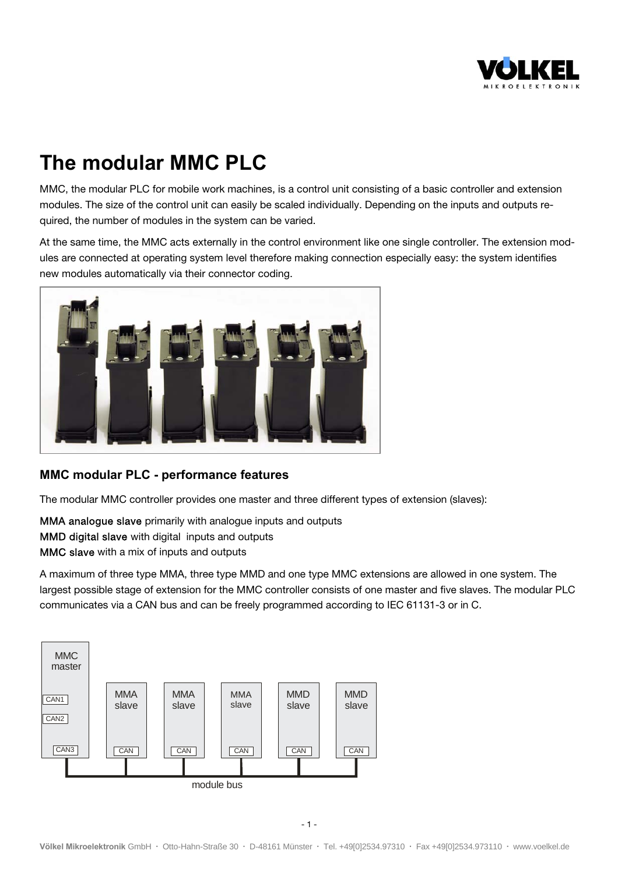

# **The modular MMC PLC**

MMC, the modular PLC for mobile work machines, is a control unit consisting of a basic controller and extension modules. The size of the control unit can easily be scaled individually. Depending on the inputs and outputs required, the number of modules in the system can be varied.

At the same time, the MMC acts externally in the control environment like one single controller. The extension modules are connected at operating system level therefore making connection especially easy: the system identifies new modules automatically via their connector coding.



#### **MMC modular PLC - performance features**

The modular MMC controller provides one master and three different types of extension (slaves):

MMA analogue slave primarily with analogue inputs and outputs MMD digital slave with digital inputs and outputs MMC slave with a mix of inputs and outputs

A maximum of three type MMA, three type MMD and one type MMC extensions are allowed in one system. The largest possible stage of extension for the MMC controller consists of one master and five slaves. The modular PLC communicates via a CAN bus and can be freely programmed according to IEC 61131-3 or in C.

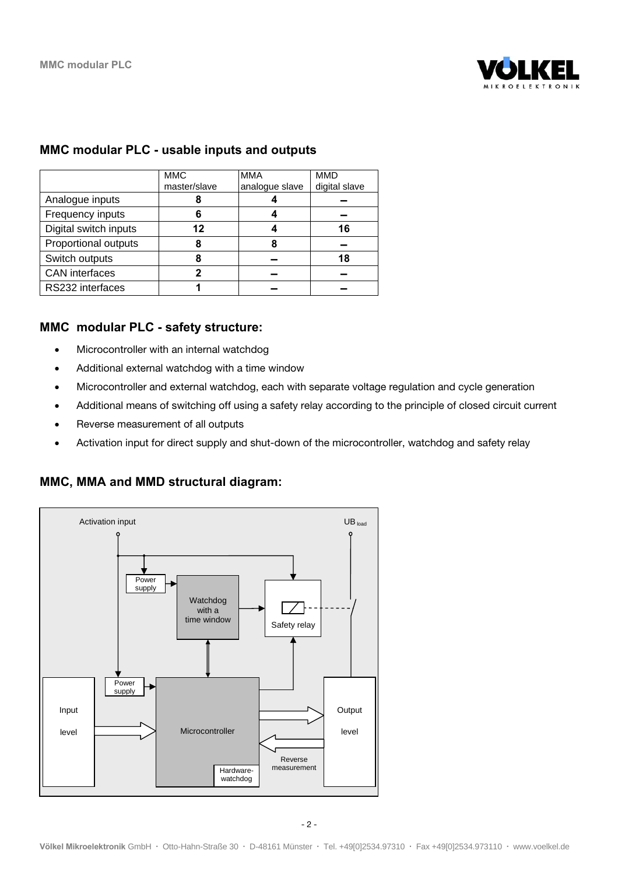

#### **MMC modular PLC - usable inputs and outputs**

|                       | <b>MMC</b>   | <b>MMA</b>     | <b>MMD</b>    |
|-----------------------|--------------|----------------|---------------|
|                       | master/slave | analogue slave | digital slave |
| Analogue inputs       |              |                |               |
| Frequency inputs      |              |                |               |
| Digital switch inputs | 12           |                | 16            |
| Proportional outputs  |              | 8              |               |
| Switch outputs        |              |                | 18            |
| <b>CAN</b> interfaces | ŋ            |                |               |
| RS232 interfaces      |              |                |               |

#### **MMC modular PLC - safety structure:**

- Microcontroller with an internal watchdog
- Additional external watchdog with a time window
- Microcontroller and external watchdog, each with separate voltage regulation and cycle generation
- Additional means of switching off using a safety relay according to the principle of closed circuit current
- Reverse measurement of all outputs
- Activation input for direct supply and shut-down of the microcontroller, watchdog and safety relay

#### **MMC, MMA and MMD structural diagram:**

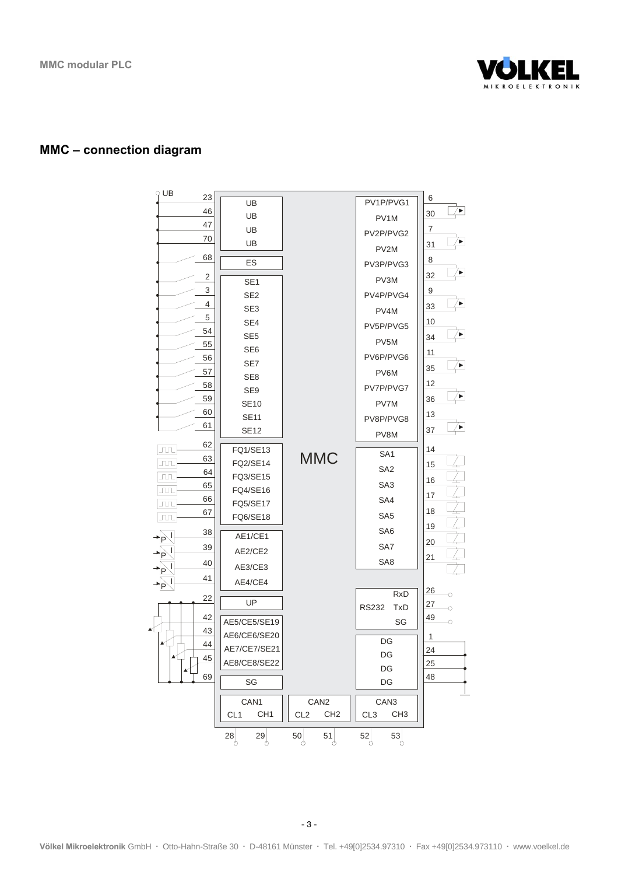

#### **MMC – connection diagram**

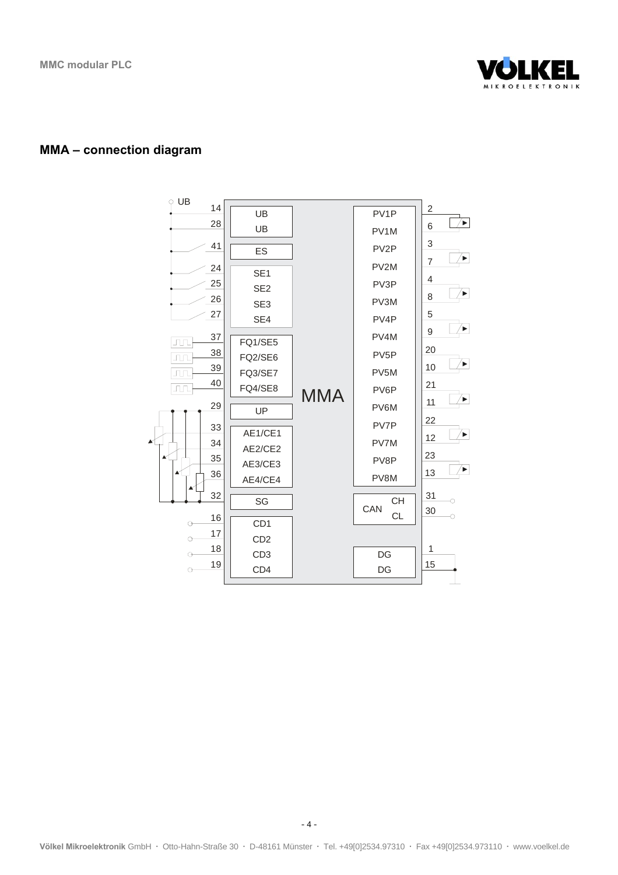

#### **MMA – connection diagram**



Völkel Mikroelektronik GmbH · Otto-Hahn-Straße 30 · D-48161 Münster · Tel. +49[0]2534.97310 · Fax +49[0]2534.973110 · www.voelkel.de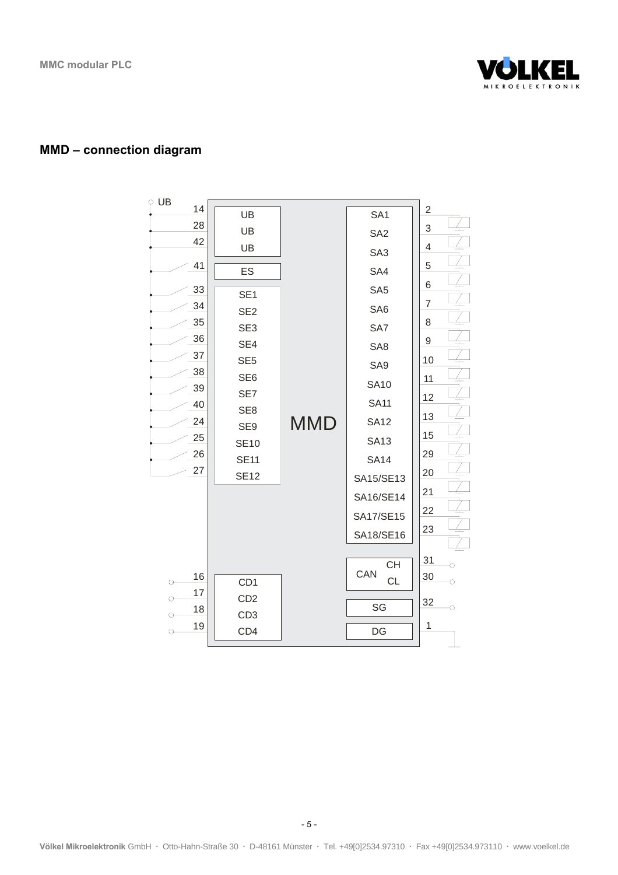

### **MMD – connection diagram**

| UB                 |                 |     |                 |                |
|--------------------|-----------------|-----|-----------------|----------------|
| 14                 | UB              |     | SA <sub>1</sub> | 2              |
| 28                 | UB              |     | SA <sub>2</sub> | 3              |
| 42                 | UB              |     | SA <sub>3</sub> | $\overline{4}$ |
| 41                 | ES              |     | SA4             | 5              |
| 33                 | SE <sub>1</sub> |     | SA <sub>5</sub> | 6              |
| 34                 | SE <sub>2</sub> |     | SA <sub>6</sub> | 7              |
| 35                 | SE <sub>3</sub> |     | SA7             | 8              |
| 36                 | SE4             |     | SA <sub>8</sub> | 9              |
| 37                 | SE <sub>5</sub> |     |                 | 10             |
| 38                 | SE <sub>6</sub> |     | SA <sub>9</sub> | 11             |
| 39                 | SE7             |     | <b>SA10</b>     | 12             |
| 40                 | SE <sub>8</sub> |     | <b>SA11</b>     |                |
| 24                 | SE9             | MMD | <b>SA12</b>     | 13             |
| 25                 | <b>SE10</b>     |     | <b>SA13</b>     | 15             |
| 26                 | <b>SE11</b>     |     | <b>SA14</b>     | 29             |
| 27                 | <b>SE12</b>     |     | SA15/SE13       | 20             |
|                    |                 |     | SA16/SE14       | 21             |
|                    |                 |     | SA17/SE15       | 22             |
|                    |                 |     |                 | 23             |
|                    |                 |     | SA18/SE16       |                |
|                    |                 |     | <b>CH</b>       | 31<br>∩        |
| 16<br>O-           | CD <sub>1</sub> |     | CAN<br>CL       | 30<br>О        |
| 17<br><sub>O</sub> | CD <sub>2</sub> |     |                 |                |
| 18<br>O-           | CD <sub>3</sub> |     | SG              | 32<br>O        |
| 19<br>О            | CD4             |     | DG              | 1              |
|                    |                 |     |                 |                |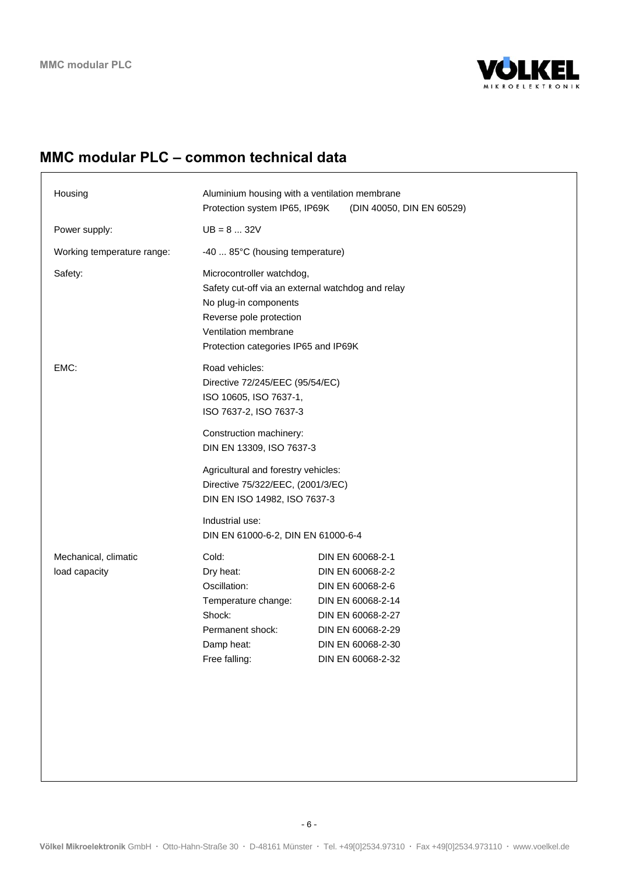

# **MMC modular PLC – common technical data**

| Housing                               | Aluminium housing with a ventilation membrane<br>Protection system IP65, IP69K                                                                                                                     | (DIN 40050, DIN EN 60529)                                                                                                                                         |
|---------------------------------------|----------------------------------------------------------------------------------------------------------------------------------------------------------------------------------------------------|-------------------------------------------------------------------------------------------------------------------------------------------------------------------|
| Power supply:                         | $UB = 8  32V$                                                                                                                                                                                      |                                                                                                                                                                   |
| Working temperature range:            | -40  85°C (housing temperature)                                                                                                                                                                    |                                                                                                                                                                   |
| Safety:                               | Microcontroller watchdog,<br>Safety cut-off via an external watchdog and relay<br>No plug-in components<br>Reverse pole protection<br>Ventilation membrane<br>Protection categories IP65 and IP69K |                                                                                                                                                                   |
| EMC:                                  | Road vehicles:<br>Directive 72/245/EEC (95/54/EC)<br>ISO 10605, ISO 7637-1,<br>ISO 7637-2, ISO 7637-3                                                                                              |                                                                                                                                                                   |
|                                       | Construction machinery:<br>DIN EN 13309, ISO 7637-3                                                                                                                                                |                                                                                                                                                                   |
|                                       | Agricultural and forestry vehicles:<br>Directive 75/322/EEC, (2001/3/EC)<br>DIN EN ISO 14982, ISO 7637-3                                                                                           |                                                                                                                                                                   |
|                                       | Industrial use:<br>DIN EN 61000-6-2, DIN EN 61000-6-4                                                                                                                                              |                                                                                                                                                                   |
| Mechanical, climatic<br>load capacity | Cold:<br>Dry heat:<br>Oscillation:<br>Temperature change:<br>Shock:<br>Permanent shock:<br>Damp heat:<br>Free falling:                                                                             | DIN EN 60068-2-1<br>DIN EN 60068-2-2<br>DIN EN 60068-2-6<br>DIN EN 60068-2-14<br>DIN EN 60068-2-27<br>DIN EN 60068-2-29<br>DIN EN 60068-2-30<br>DIN EN 60068-2-32 |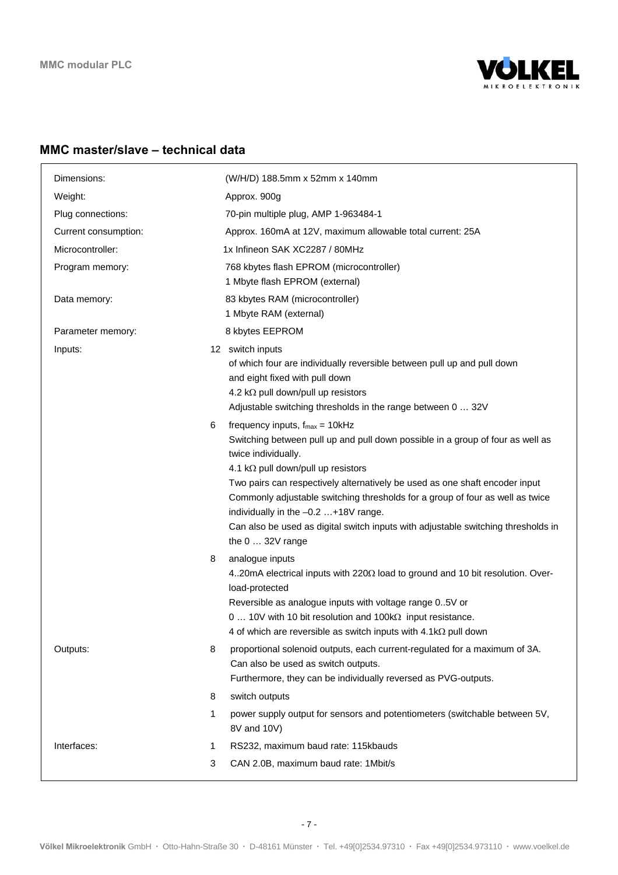

## **MMC master/slave – technical data**

| Dimensions:          | (W/H/D) 188.5mm x 52mm x 140mm                                                                                                                                                                                                                                                                                                                                                                                                                                                                                      |  |
|----------------------|---------------------------------------------------------------------------------------------------------------------------------------------------------------------------------------------------------------------------------------------------------------------------------------------------------------------------------------------------------------------------------------------------------------------------------------------------------------------------------------------------------------------|--|
| Weight:              | Approx. 900g                                                                                                                                                                                                                                                                                                                                                                                                                                                                                                        |  |
| Plug connections:    | 70-pin multiple plug, AMP 1-963484-1                                                                                                                                                                                                                                                                                                                                                                                                                                                                                |  |
| Current consumption: | Approx. 160mA at 12V, maximum allowable total current: 25A                                                                                                                                                                                                                                                                                                                                                                                                                                                          |  |
| Microcontroller:     | 1x Infineon SAK XC2287 / 80MHz                                                                                                                                                                                                                                                                                                                                                                                                                                                                                      |  |
| Program memory:      | 768 kbytes flash EPROM (microcontroller)<br>1 Mbyte flash EPROM (external)                                                                                                                                                                                                                                                                                                                                                                                                                                          |  |
| Data memory:         | 83 kbytes RAM (microcontroller)<br>1 Mbyte RAM (external)                                                                                                                                                                                                                                                                                                                                                                                                                                                           |  |
| Parameter memory:    | 8 kbytes EEPROM                                                                                                                                                                                                                                                                                                                                                                                                                                                                                                     |  |
| Inputs:              | 12 switch inputs<br>of which four are individually reversible between pull up and pull down<br>and eight fixed with pull down<br>4.2 k $\Omega$ pull down/pull up resistors<br>Adjustable switching thresholds in the range between 0  32V                                                                                                                                                                                                                                                                          |  |
|                      | frequency inputs, $f_{max} = 10kHz$<br>Switching between pull up and pull down possible in a group of four as well as<br>twice individually.<br>4.1 k $\Omega$ pull down/pull up resistors<br>Two pairs can respectively alternatively be used as one shaft encoder input<br>Commonly adjustable switching thresholds for a group of four as well as twice<br>individually in the -0.2 +18V range.<br>Can also be used as digital switch inputs with adjustable switching thresholds in<br>the $0 \ldots 32V$ range |  |
|                      | analogue inputs<br>420mA electrical inputs with 2200 load to ground and 10 bit resolution. Over-<br>load-protected<br>Reversible as analogue inputs with voltage range 05V or<br>0  10V with 10 bit resolution and 100kΩ input resistance.<br>4 of which are reversible as switch inputs with $4.1 \text{k}\Omega$ pull down                                                                                                                                                                                        |  |
| Outputs:             | proportional solenoid outputs, each current-regulated for a maximum of 3A.<br>Can also be used as switch outputs.<br>Furthermore, they can be individually reversed as PVG-outputs.                                                                                                                                                                                                                                                                                                                                 |  |
|                      | switch outputs                                                                                                                                                                                                                                                                                                                                                                                                                                                                                                      |  |
|                      | power supply output for sensors and potentiometers (switchable between 5V,<br>8V and 10V)                                                                                                                                                                                                                                                                                                                                                                                                                           |  |
| Interfaces:          | RS232, maximum baud rate: 115kbauds                                                                                                                                                                                                                                                                                                                                                                                                                                                                                 |  |
|                      | CAN 2.0B, maximum baud rate: 1Mbit/s                                                                                                                                                                                                                                                                                                                                                                                                                                                                                |  |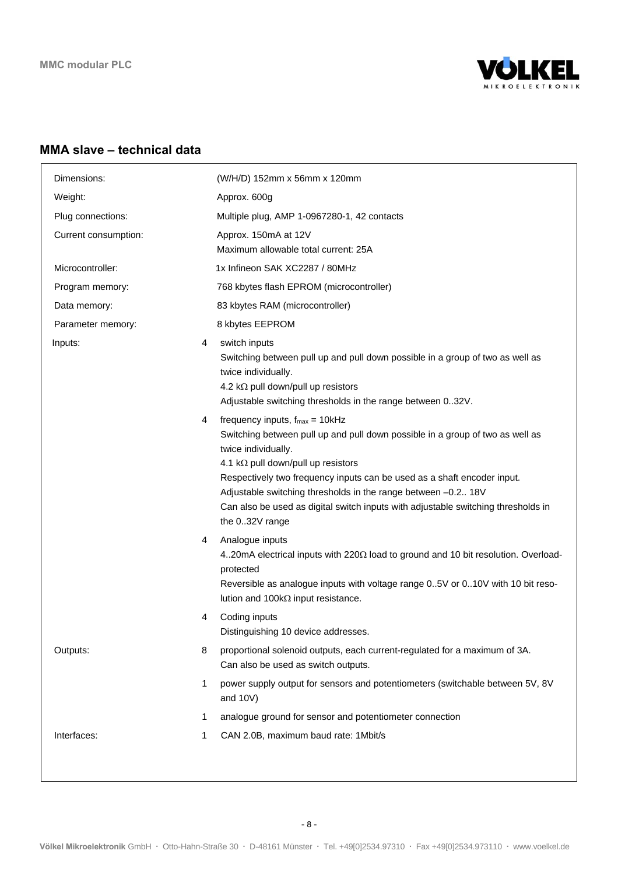

#### **MMA slave – technical data**

| Dimensions:          |   | (W/H/D) 152mm x 56mm x 120mm                                                                                                                                                                                                                                                                                                                                                                                                         |
|----------------------|---|--------------------------------------------------------------------------------------------------------------------------------------------------------------------------------------------------------------------------------------------------------------------------------------------------------------------------------------------------------------------------------------------------------------------------------------|
| Weight:              |   | Approx. 600g                                                                                                                                                                                                                                                                                                                                                                                                                         |
| Plug connections:    |   | Multiple plug, AMP 1-0967280-1, 42 contacts                                                                                                                                                                                                                                                                                                                                                                                          |
| Current consumption: |   | Approx. 150mA at 12V<br>Maximum allowable total current: 25A                                                                                                                                                                                                                                                                                                                                                                         |
| Microcontroller:     |   | 1x Infineon SAK XC2287 / 80MHz                                                                                                                                                                                                                                                                                                                                                                                                       |
| Program memory:      |   | 768 kbytes flash EPROM (microcontroller)                                                                                                                                                                                                                                                                                                                                                                                             |
| Data memory:         |   | 83 kbytes RAM (microcontroller)                                                                                                                                                                                                                                                                                                                                                                                                      |
| Parameter memory:    |   | 8 kbytes EEPROM                                                                                                                                                                                                                                                                                                                                                                                                                      |
| Inputs:              | 4 | switch inputs<br>Switching between pull up and pull down possible in a group of two as well as<br>twice individually.<br>4.2 k $\Omega$ pull down/pull up resistors<br>Adjustable switching thresholds in the range between 032V.                                                                                                                                                                                                    |
|                      | 4 | frequency inputs, $f_{max} = 10kHz$<br>Switching between pull up and pull down possible in a group of two as well as<br>twice individually.<br>4.1 kΩ pull down/pull up resistors<br>Respectively two frequency inputs can be used as a shaft encoder input.<br>Adjustable switching thresholds in the range between -0.2 18V<br>Can also be used as digital switch inputs with adjustable switching thresholds in<br>the 032V range |
|                      | 4 | Analogue inputs<br>420mA electrical inputs with 220Ω load to ground and 10 bit resolution. Overload-<br>protected<br>Reversible as analogue inputs with voltage range 0.5V or 010V with 10 bit reso-<br>lution and $100k\Omega$ input resistance.                                                                                                                                                                                    |
|                      | 4 | Coding inputs<br>Distinguishing 10 device addresses.                                                                                                                                                                                                                                                                                                                                                                                 |
| Outputs:             | 8 | proportional solenoid outputs, each current-regulated for a maximum of 3A.<br>Can also be used as switch outputs.                                                                                                                                                                                                                                                                                                                    |
|                      | 1 | power supply output for sensors and potentiometers (switchable between 5V, 8V<br>and 10V)                                                                                                                                                                                                                                                                                                                                            |
|                      | 1 | analogue ground for sensor and potentiometer connection                                                                                                                                                                                                                                                                                                                                                                              |
| Interfaces:          | 1 | CAN 2.0B, maximum baud rate: 1Mbit/s                                                                                                                                                                                                                                                                                                                                                                                                 |
|                      |   |                                                                                                                                                                                                                                                                                                                                                                                                                                      |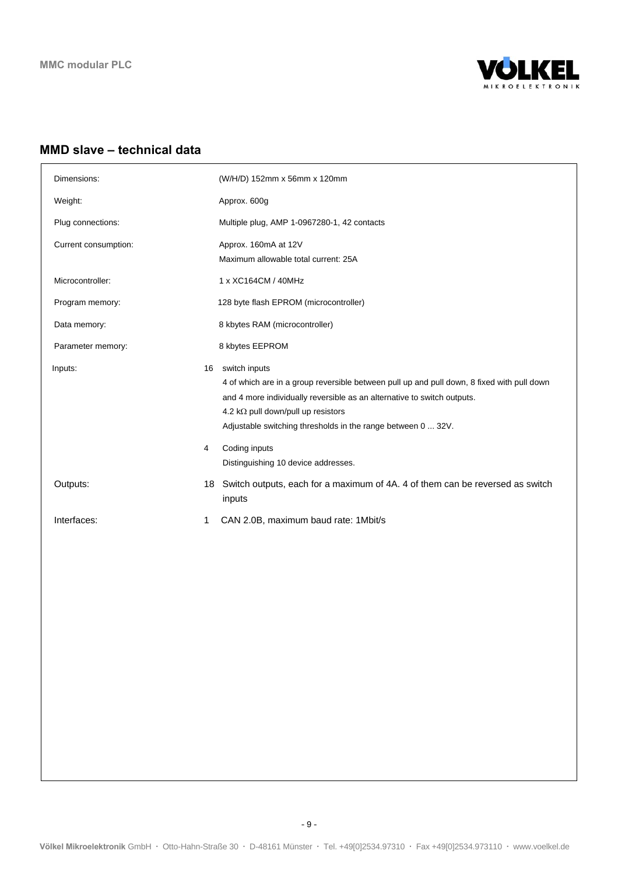

#### **MMD slave – technical data**

| Dimensions:          |         | (W/H/D) 152mm x 56mm x 120mm                                                                                                                                                                                                                                                                                                                                 |
|----------------------|---------|--------------------------------------------------------------------------------------------------------------------------------------------------------------------------------------------------------------------------------------------------------------------------------------------------------------------------------------------------------------|
| Weight:              |         | Approx. 600g                                                                                                                                                                                                                                                                                                                                                 |
| Plug connections:    |         | Multiple plug, AMP 1-0967280-1, 42 contacts                                                                                                                                                                                                                                                                                                                  |
| Current consumption: |         | Approx. 160mA at 12V<br>Maximum allowable total current: 25A                                                                                                                                                                                                                                                                                                 |
| Microcontroller:     |         | 1 x XC164CM / 40MHz                                                                                                                                                                                                                                                                                                                                          |
| Program memory:      |         | 128 byte flash EPROM (microcontroller)                                                                                                                                                                                                                                                                                                                       |
| Data memory:         |         | 8 kbytes RAM (microcontroller)                                                                                                                                                                                                                                                                                                                               |
| Parameter memory:    |         | 8 kbytes EEPROM                                                                                                                                                                                                                                                                                                                                              |
| Inputs:              | 16<br>4 | switch inputs<br>4 of which are in a group reversible between pull up and pull down, 8 fixed with pull down<br>and 4 more individually reversible as an alternative to switch outputs.<br>4.2 k $\Omega$ pull down/pull up resistors<br>Adjustable switching thresholds in the range between 0  32V.<br>Coding inputs<br>Distinguishing 10 device addresses. |
| Outputs:             | 18      | Switch outputs, each for a maximum of 4A. 4 of them can be reversed as switch<br>inputs                                                                                                                                                                                                                                                                      |
| Interfaces:          | 1       | CAN 2.0B, maximum baud rate: 1Mbit/s                                                                                                                                                                                                                                                                                                                         |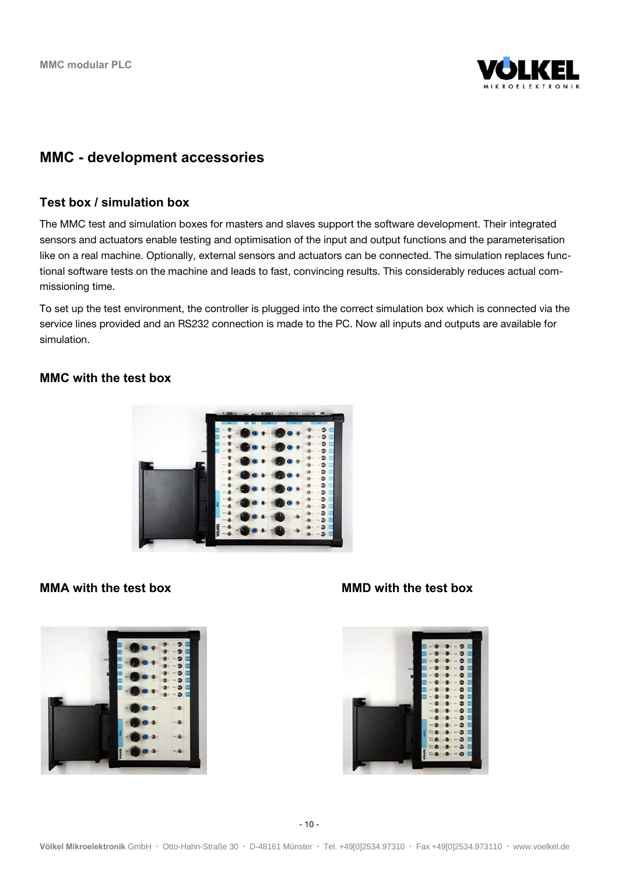

# **MMC - development accessories**

#### **Test box / simulation box**

The MMC test and simulation boxes for masters and slaves support the software development. Their integrated sensors and actuators enable testing and optimisation of the input and output functions and the parameterisation like on a real machine. Optionally, external sensors and actuators can be connected. The simulation replaces functional software tests on the machine and leads to fast, convincing results. This considerably reduces actual commissioning time.

To set up the test environment, the controller is plugged into the correct simulation box which is connected via the service lines provided and an RS232 connection is made to the PC. Now all inputs and outputs are available for simulation.

#### **MMC with the test box**





#### **MMA** with the test box **MMD** with the test box

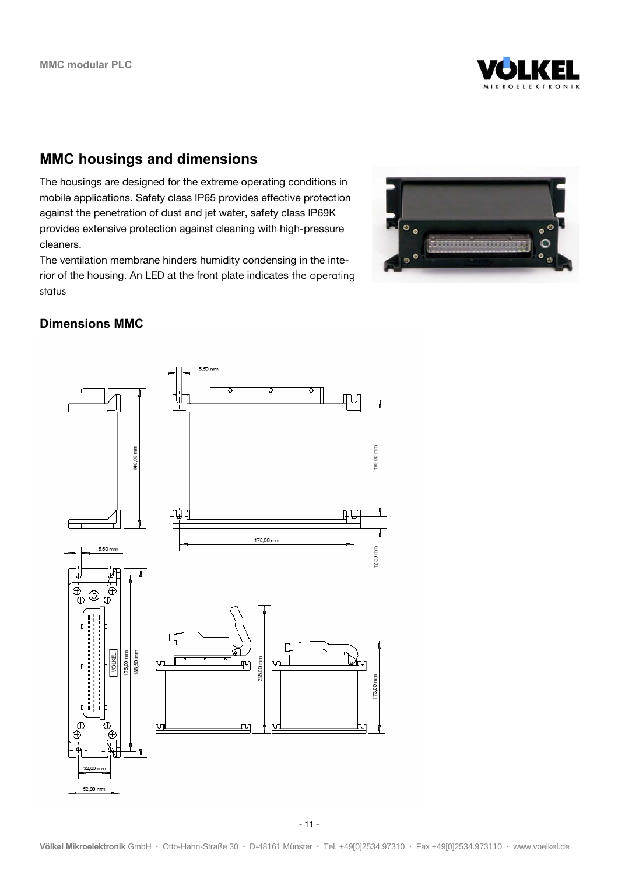

# **MMC housings and dimensions**

The housings are designed for the extreme operating conditions in mobile applications. Safety class IP65 provides effective protection against the penetration of dust and jet water, safety class IP69K provides extensive protection against cleaning with high-pressure cleaners.

The ventilation membrane hinders humidity condensing in the interior of the housing. An LED at the front plate indicates the operating status



#### **Dimensions MMC**